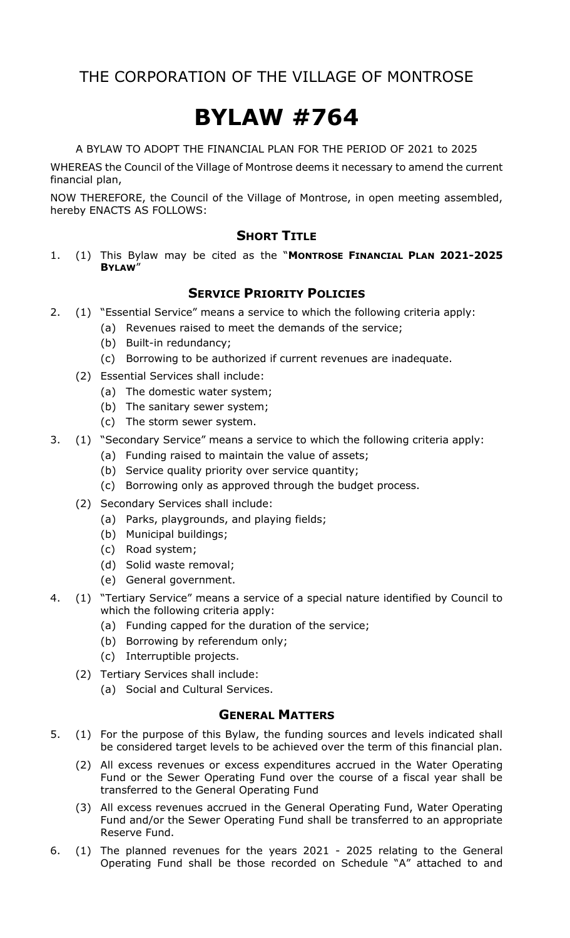# **BYLAW #764**

A BYLAW TO ADOPT THE FINANCIAL PLAN FOR THE PERIOD OF 2021 to 2025

WHEREAS the Council of the Village of Montrose deems it necessary to amend the current financial plan,

NOW THEREFORE, the Council of the Village of Montrose, in open meeting assembled, hereby ENACTS AS FOLLOWS:

### **SHORT TITLE**

1. (1) This Bylaw may be cited as the "**MONTROSE FINANCIAL PLAN 2021-2025 BYLAW**"

### **SERVICE PRIORITY POLICIES**

- 2. (1) "Essential Service" means a service to which the following criteria apply:
	- (a) Revenues raised to meet the demands of the service;
	- (b) Built-in redundancy;
	- (c) Borrowing to be authorized if current revenues are inadequate.
	- (2) Essential Services shall include:
		- (a) The domestic water system;
		- (b) The sanitary sewer system;
		- (c) The storm sewer system.
- 3. (1) "Secondary Service" means a service to which the following criteria apply:
	- (a) Funding raised to maintain the value of assets;
	- (b) Service quality priority over service quantity;
	- (c) Borrowing only as approved through the budget process.
	- (2) Secondary Services shall include:
		- (a) Parks, playgrounds, and playing fields;
		- (b) Municipal buildings;
		- (c) Road system;
		- (d) Solid waste removal;
		- (e) General government.
- 4. (1) "Tertiary Service" means a service of a special nature identified by Council to which the following criteria apply:
	- (a) Funding capped for the duration of the service;
	- (b) Borrowing by referendum only;
	- (c) Interruptible projects.
	- (2) Tertiary Services shall include:
		- (a) Social and Cultural Services.

### **GENERAL MATTERS**

- 5. (1) For the purpose of this Bylaw, the funding sources and levels indicated shall be considered target levels to be achieved over the term of this financial plan.
	- (2) All excess revenues or excess expenditures accrued in the Water Operating Fund or the Sewer Operating Fund over the course of a fiscal year shall be transferred to the General Operating Fund
	- (3) All excess revenues accrued in the General Operating Fund, Water Operating Fund and/or the Sewer Operating Fund shall be transferred to an appropriate Reserve Fund.
- 6. (1) The planned revenues for the years 2021 2025 relating to the General Operating Fund shall be those recorded on Schedule "A" attached to and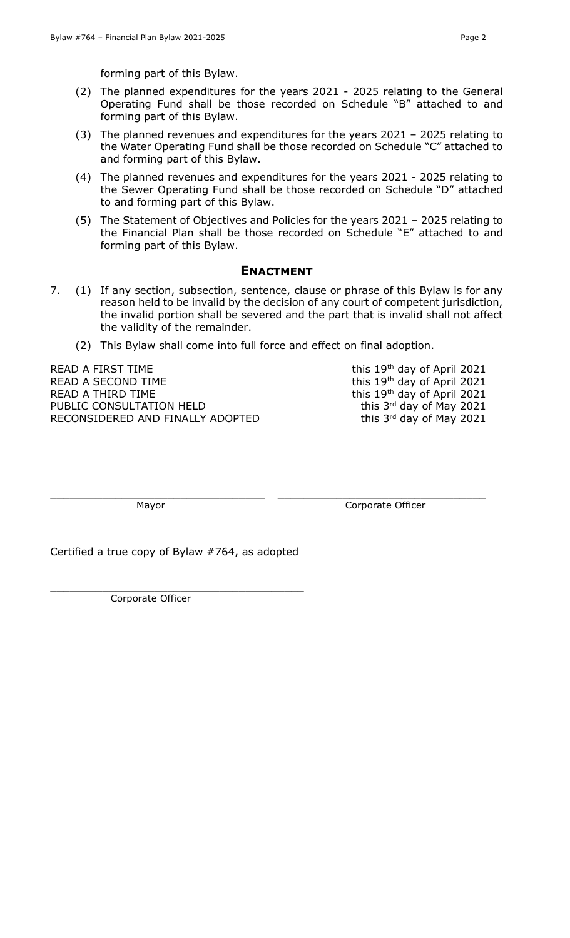forming part of this Bylaw.

- (2) The planned expenditures for the years 2021 2025 relating to the General Operating Fund shall be those recorded on Schedule "B" attached to and forming part of this Bylaw.
- (3) The planned revenues and expenditures for the years 2021 2025 relating to the Water Operating Fund shall be those recorded on Schedule "C" attached to and forming part of this Bylaw.
- (4) The planned revenues and expenditures for the years 2021 2025 relating to the Sewer Operating Fund shall be those recorded on Schedule "D" attached to and forming part of this Bylaw.
- (5) The Statement of Objectives and Policies for the years 2021 2025 relating to the Financial Plan shall be those recorded on Schedule "E" attached to and forming part of this Bylaw.

### **ENACTMENT**

- 7. (1) If any section, subsection, sentence, clause or phrase of this Bylaw is for any reason held to be invalid by the decision of any court of competent jurisdiction, the invalid portion shall be severed and the part that is invalid shall not affect the validity of the remainder.
	- (2) This Bylaw shall come into full force and effect on final adoption.

 $\_$  , and the set of the set of the set of the set of the set of the set of the set of the set of the set of the set of the set of the set of the set of the set of the set of the set of the set of the set of the set of th

READ A FIRST TIME  $t^{\text{th}}$  ay of April 2021 READ A SECOND TIME THE THIS 2021 THE THIS 19th day of April 2021 READ A THIRD TIME  $t^{\text{th}}$  ay of April 2021 PUBLIC CONSULTATION HELD RECONSIDERED AND FINALLY ADOPTED

this 3rd day of May 2021 this 3rd day of May 2021

Mayor **Mayor** Corporate Officer

Certified a true copy of Bylaw #764, as adopted

\_\_\_\_\_\_\_\_\_\_\_\_\_\_\_\_\_\_\_\_\_\_\_\_\_\_\_\_\_\_\_\_\_\_\_\_\_\_\_

Corporate Officer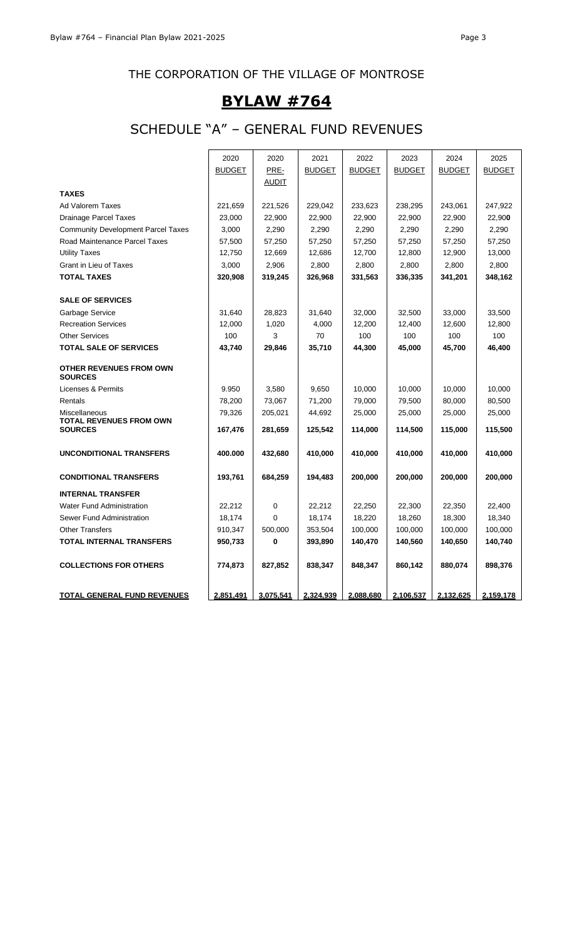# **BYLAW #764**

# SCHEDULE "A" – GENERAL FUND REVENUES

|                                                  | 2020          | 2020         | 2021          | 2022          | 2023          | 2024          | 2025          |
|--------------------------------------------------|---------------|--------------|---------------|---------------|---------------|---------------|---------------|
|                                                  | <b>BUDGET</b> | PRE-         | <b>BUDGET</b> | <b>BUDGET</b> | <b>BUDGET</b> | <b>BUDGET</b> | <b>BUDGET</b> |
|                                                  |               | <u>AUDIT</u> |               |               |               |               |               |
| <b>TAXES</b>                                     |               |              |               |               |               |               |               |
| <b>Ad Valorem Taxes</b>                          | 221,659       | 221,526      | 229,042       | 233,623       | 238,295       | 243,061       | 247,922       |
| <b>Drainage Parcel Taxes</b>                     | 23,000        | 22,900       | 22,900        | 22,900        | 22,900        | 22,900        | 22,900        |
| <b>Community Development Parcel Taxes</b>        | 3,000         | 2,290        | 2,290         | 2,290         | 2,290         | 2,290         | 2,290         |
| Road Maintenance Parcel Taxes                    | 57,500        | 57,250       | 57,250        | 57,250        | 57,250        | 57,250        | 57,250        |
| <b>Utility Taxes</b>                             | 12,750        | 12,669       | 12,686        | 12,700        | 12,800        | 12,900        | 13,000        |
| Grant in Lieu of Taxes                           | 3,000         | 2,906        | 2,800         | 2,800         | 2,800         | 2,800         | 2,800         |
| <b>TOTAL TAXES</b>                               | 320,908       | 319,245      | 326,968       | 331,563       | 336,335       | 341,201       | 348,162       |
| <b>SALE OF SERVICES</b>                          |               |              |               |               |               |               |               |
| Garbage Service                                  | 31,640        | 28,823       | 31,640        | 32,000        | 32,500        | 33,000        | 33,500        |
| <b>Recreation Services</b>                       | 12,000        | 1,020        | 4,000         | 12,200        | 12,400        | 12,600        | 12,800        |
| <b>Other Services</b>                            | 100           | 3            | 70            | 100           | 100           | 100           | 100           |
| <b>TOTAL SALE OF SERVICES</b>                    | 43,740        | 29,846       | 35,710        | 44,300        | 45,000        | 45,700        | 46,400        |
| <b>OTHER REVENUES FROM OWN</b><br><b>SOURCES</b> |               |              |               |               |               |               |               |
| Licenses & Permits                               | 9.950         | 3,580        | 9,650         | 10,000        | 10,000        | 10,000        | 10,000        |
| Rentals                                          | 78,200        | 73,067       | 71,200        | 79,000        | 79,500        | 80,000        | 80,500        |
| Miscellaneous                                    | 79,326        | 205,021      | 44,692        | 25,000        | 25,000        | 25,000        | 25,000        |
| <b>TOTAL REVENUES FROM OWN</b><br><b>SOURCES</b> | 167,476       | 281,659      | 125,542       | 114,000       | 114,500       | 115,000       | 115,500       |
| <b>UNCONDITIONAL TRANSFERS</b>                   | 400.000       | 432,680      | 410,000       | 410,000       | 410,000       | 410,000       | 410,000       |
|                                                  |               |              |               |               |               |               |               |
| <b>CONDITIONAL TRANSFERS</b>                     | 193,761       | 684,259      | 194,483       | 200,000       | 200,000       | 200,000       | 200,000       |
| <b>INTERNAL TRANSFER</b>                         |               |              |               |               |               |               |               |
| <b>Water Fund Administration</b>                 | 22,212        | 0            | 22,212        | 22,250        | 22,300        | 22.350        | 22,400        |
| Sewer Fund Administration                        | 18,174        | 0            | 18,174        | 18,220        | 18,260        | 18,300        | 18,340        |
| <b>Other Transfers</b>                           | 910,347       | 500,000      | 353,504       | 100,000       | 100,000       | 100,000       | 100,000       |
| <b>TOTAL INTERNAL TRANSFERS</b>                  | 950,733       | 0            | 393,890       | 140,470       | 140,560       | 140,650       | 140,740       |
| <b>COLLECTIONS FOR OTHERS</b>                    | 774,873       | 827,852      | 838,347       | 848,347       | 860,142       | 880,074       | 898,376       |
| <b>TOTAL GENERAL FUND REVENUES</b>               | 2,851,491     | 3,075,541    | 2,324,939     | 2,088,680     | 2,106,537     | 2,132,625     | 2,159,178     |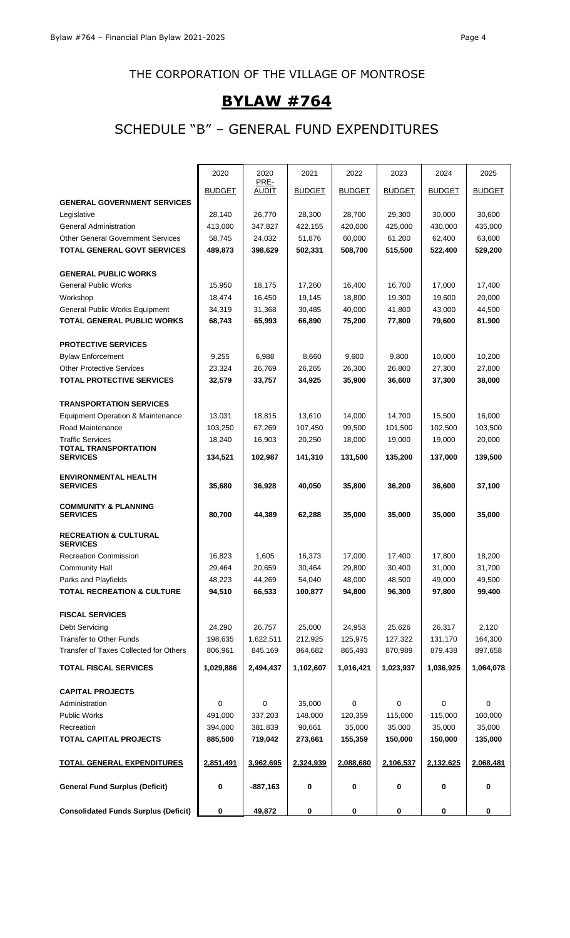# **BYLAW #764**

# SCHEDULE "B" – GENERAL FUND EXPENDITURES

|                                                        | 2020               | 2020<br>PRE-       | 2021              | 2022          | 2023              | 2024              | 2025          |
|--------------------------------------------------------|--------------------|--------------------|-------------------|---------------|-------------------|-------------------|---------------|
|                                                        | <b>BUDGET</b>      | <b>AUDIT</b>       | <b>BUDGET</b>     | <b>BUDGET</b> | <b>BUDGET</b>     | <b>BUDGET</b>     | <b>BUDGET</b> |
| <b>GENERAL GOVERNMENT SERVICES</b>                     |                    |                    |                   |               |                   |                   |               |
| Legislative                                            | 28,140             | 26,770             | 28,300            | 28,700        | 29,300            | 30,000            | 30,600        |
| <b>General Administration</b>                          | 413,000            | 347,827            | 422,155           | 420,000       | 425,000           | 430,000           | 435,000       |
| <b>Other General Government Services</b>               | 58,745             | 24,032             | 51,876            | 60,000        | 61,200            | 62,400            | 63,600        |
| <b>TOTAL GENERAL GOVT SERVICES</b>                     | 489,873            | 398,629            | 502,331           | 508,700       | 515,500           | 522,400           | 529,200       |
| <b>GENERAL PUBLIC WORKS</b>                            |                    |                    |                   |               |                   |                   |               |
| <b>General Public Works</b>                            | 15,950             | 18.175             | 17,260            | 16,400        | 16,700            | 17,000            | 17,400        |
| Workshop                                               | 18,474             | 16,450             | 19,145            | 18,800        | 19,300            | 19,600            | 20,000        |
| <b>General Public Works Equipment</b>                  | 34,319             | 31,368             | 30,485            | 40,000        | 41,800            | 43,000            | 44,500        |
| TOTAL GENERAL PUBLIC WORKS                             | 68,743             | 65,993             | 66,890            | 75,200        | 77,800            | 79,600            | 81.900        |
|                                                        |                    |                    |                   |               |                   |                   |               |
| <b>PROTECTIVE SERVICES</b>                             |                    |                    |                   |               |                   |                   |               |
| <b>Bylaw Enforcement</b>                               | 9,255              | 6,988              | 8,660             | 9,600         | 9,800             | 10,000            | 10,200        |
| <b>Other Protective Services</b>                       | 23,324             | 26,769             | 26,265            | 26,300        | 26,800            | 27,300            | 27,800        |
| <b>TOTAL PROTECTIVE SERVICES</b>                       | 32,579             | 33,757             | 34,925            | 35.900        | 36.600            | 37,300            | 38,000        |
|                                                        |                    |                    |                   |               |                   |                   |               |
| <b>TRANSPORTATION SERVICES</b>                         |                    |                    |                   |               |                   |                   |               |
| Equipment Operation & Maintenance                      | 13,031             | 18,815             | 13,610            | 14,000        | 14,700            | 15,500            | 16,000        |
| Road Maintenance                                       | 103,250            | 67,269             | 107,450           | 99,500        | 101.500           | 102,500           | 103,500       |
| <b>Traffic Services</b><br><b>TOTAL TRANSPORTATION</b> | 18,240             | 16,903             | 20,250            | 18,000        | 19,000            | 19,000            | 20,000        |
| <b>SERVICES</b>                                        | 134,521            | 102,987            | 141,310           | 131,500       | 135,200           | 137,000           | 139,500       |
| <b>ENVIRONMENTAL HEALTH</b>                            |                    |                    |                   |               |                   |                   |               |
| <b>SERVICES</b>                                        | 35,680             | 36,928             | 40,050            | 35,800        | 36,200            | 36,600            | 37,100        |
| <b>COMMUNITY &amp; PLANNING</b>                        |                    |                    |                   |               |                   |                   |               |
| <b>SERVICES</b>                                        | 80,700             | 44,389             | 62,288            | 35,000        | 35,000            | 35,000            | 35,000        |
| <b>RECREATION &amp; CULTURAL</b>                       |                    |                    |                   |               |                   |                   |               |
| <b>SERVICES</b>                                        |                    |                    |                   |               |                   |                   |               |
| <b>Recreation Commission</b>                           | 16,823             | 1,605              | 16,373            | 17,000        | 17.400            | 17,800            | 18,200        |
| <b>Community Hall</b>                                  | 29,464             | 20,659             | 30,464            | 29,800        | 30,400            | 31,000            | 31,700        |
| Parks and Playfields                                   | 48,223             | 44,269             | 54,040            | 48,000        | 48,500            | 49,000            | 49,500        |
| <b>TOTAL RECREATION &amp; CULTURE</b>                  | 94,510             | 66,533             | 100,877           | 94,800        | 96,300            | 97,800            | 99,400        |
|                                                        |                    |                    |                   |               |                   |                   |               |
| <b>FISCAL SERVICES</b>                                 |                    |                    |                   |               |                   |                   |               |
| Debt Servicing                                         | 24,290             | 26,757             | 25,000            | 24,953        | 25,626            | 26,317            | 2,120         |
| Transfer to Other Funds                                | 198,635            | 1,622,511          | 212,925           | 125,975       | 127,322           | 131,170           | 164,300       |
| Transfer of Taxes Collected for Others                 | 806,961            | 845,169            | 864,682           | 865,493       | 870,989           | 879,438           | 897,658       |
| <b>TOTAL FISCAL SERVICES</b>                           | 1,029,886          | 2,494,437          | 1,102,607         | 1,016,421     | 1,023,937         | 1,036,925         | 1,064,078     |
|                                                        |                    |                    |                   |               |                   |                   |               |
| <b>CAPITAL PROJECTS</b>                                | 0                  | 0                  |                   | 0             | 0                 | 0                 | 0             |
| Administration<br><b>Public Works</b>                  | 491,000            | 337,203            | 35,000<br>148,000 | 120,359       | 115,000           | 115,000           | 100,000       |
|                                                        |                    |                    |                   | 35,000        |                   |                   | 35,000        |
| Recreation<br><b>TOTAL CAPITAL PROJECTS</b>            | 394,000<br>885,500 | 381,839<br>719,042 | 90,661<br>273,661 | 155,359       | 35,000<br>150,000 | 35,000<br>150,000 | 135,000       |
|                                                        |                    |                    |                   |               |                   |                   |               |
| <b>TOTAL GENERAL EXPENDITURES</b>                      | 2,851,491          | 3,962,695          | 2,324,939         | 2,088,680     | 2,106,537         | 2,132,625         | 2,068,481     |
| <b>General Fund Surplus (Deficit)</b>                  | 0                  | $-887,163$         | $\pmb{0}$         | 0             | 0                 | 0                 | 0             |
| <b>Consolidated Funds Surplus (Deficit)</b>            | 0                  | 49,872             | 0                 | 0             | 0                 | 0                 | 0             |
|                                                        |                    |                    |                   |               |                   |                   |               |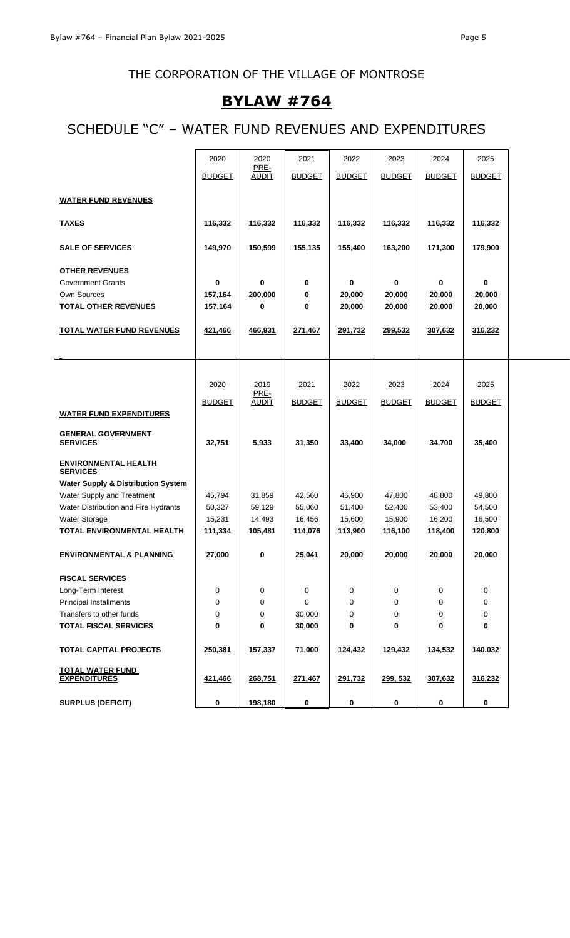# **BYLAW #764**

# SCHEDULE "C" – WATER FUND REVENUES AND EXPENDITURES

|                                                | 2020          | 2020                 | 2021          | 2022             | 2023          | 2024          | 2025          |  |
|------------------------------------------------|---------------|----------------------|---------------|------------------|---------------|---------------|---------------|--|
|                                                | <b>BUDGET</b> | PRE-<br><b>AUDIT</b> | <b>BUDGET</b> | <b>BUDGET</b>    | <b>BUDGET</b> | <b>BUDGET</b> | <b>BUDGET</b> |  |
|                                                |               |                      |               |                  |               |               |               |  |
| <b>WATER FUND REVENUES</b>                     |               |                      |               |                  |               |               |               |  |
|                                                |               |                      |               |                  |               |               |               |  |
| <b>TAXES</b>                                   | 116,332       | 116,332              | 116,332       | 116,332          | 116,332       | 116,332       | 116,332       |  |
| <b>SALE OF SERVICES</b>                        | 149,970       | 150,599              | 155,135       | 155,400          | 163,200       | 171,300       | 179,900       |  |
|                                                |               |                      |               |                  |               |               |               |  |
| <b>OTHER REVENUES</b>                          |               |                      |               |                  |               |               |               |  |
| <b>Government Grants</b><br>Own Sources        | $\bf{0}$      | 0                    | 0             | 0                | 0             | 0             | 0             |  |
| <b>TOTAL OTHER REVENUES</b>                    | 157,164       | 200,000<br>0         | 0<br>0        | 20,000<br>20,000 | 20,000        | 20,000        | 20,000        |  |
|                                                | 157,164       |                      |               |                  | 20,000        | 20,000        | 20,000        |  |
| <b>TOTAL WATER FUND REVENUES</b>               | 421,466       | 466,931              | 271,467       | 291,732          | 299,532       | 307,632       | 316,232       |  |
|                                                |               |                      |               |                  |               |               |               |  |
|                                                |               |                      |               |                  |               |               |               |  |
|                                                |               |                      |               |                  |               |               |               |  |
|                                                | 2020          | 2019                 | 2021          | 2022             | 2023          | 2024          | 2025          |  |
|                                                |               | PRE-                 |               |                  |               |               |               |  |
|                                                | <b>BUDGET</b> | <b>AUDIT</b>         | <b>BUDGET</b> | <b>BUDGET</b>    | <b>BUDGET</b> | <b>BUDGET</b> | <b>BUDGET</b> |  |
| <b>WATER FUND EXPENDITURES</b>                 |               |                      |               |                  |               |               |               |  |
| <b>GENERAL GOVERNMENT</b>                      |               |                      |               |                  |               |               |               |  |
| <b>SERVICES</b>                                | 32,751        | 5,933                | 31,350        | 33,400           | 34,000        | 34,700        | 35,400        |  |
|                                                |               |                      |               |                  |               |               |               |  |
| <b>ENVIRONMENTAL HEALTH</b><br><b>SERVICES</b> |               |                      |               |                  |               |               |               |  |
| <b>Water Supply &amp; Distribution System</b>  |               |                      |               |                  |               |               |               |  |
| Water Supply and Treatment                     | 45,794        | 31,859               | 42,560        | 46,900           | 47,800        | 48,800        | 49,800        |  |
| Water Distribution and Fire Hydrants           | 50,327        | 59,129               | 55,060        | 51,400           | 52,400        | 53,400        | 54,500        |  |
| <b>Water Storage</b>                           | 15,231        | 14,493               | 16,456        | 15,600           | 15,900        | 16,200        | 16,500        |  |
| TOTAL ENVIRONMENTAL HEALTH                     | 111,334       | 105,481              | 114,076       | 113,900          | 116,100       | 118,400       | 120,800       |  |
|                                                |               |                      |               |                  |               |               |               |  |
| <b>ENVIRONMENTAL &amp; PLANNING</b>            | 27,000        | 0                    | 25,041        | 20,000           | 20,000        | 20,000        | 20,000        |  |
|                                                |               |                      |               |                  |               |               |               |  |
| <b>FISCAL SERVICES</b>                         |               |                      |               |                  |               |               |               |  |
| Long-Term Interest                             | 0             | 0                    | 0             | 0                | 0             | 0             | 0             |  |
| Principal Installments                         | 0             | 0                    | 0             | 0                | 0             | 0             | 0             |  |
| Transfers to other funds                       | $\mathbf 0$   | 0                    | 30,000        | 0                | 0             | 0             | 0             |  |
| <b>TOTAL FISCAL SERVICES</b>                   | 0             | 0                    | 30,000        | 0                | 0             | 0             | 0             |  |
| TOTAL CAPITAL PROJECTS                         | 250,381       | 157,337              | 71,000        | 124,432          | 129,432       | 134,532       | 140,032       |  |
|                                                |               |                      |               |                  |               |               |               |  |
| <b>TOTAL WATER FUND</b>                        |               |                      |               |                  |               |               |               |  |
| <b>EXPENDITURES</b>                            | 421,466       | 268,751              | 271,467       | 291,732          | 299, 532      | 307,632       | 316,232       |  |
|                                                |               |                      |               |                  |               |               |               |  |
| <b>SURPLUS (DEFICIT)</b>                       | 0             | 198,180              | $\mathbf 0$   | $\mathbf 0$      | 0             | 0             | 0             |  |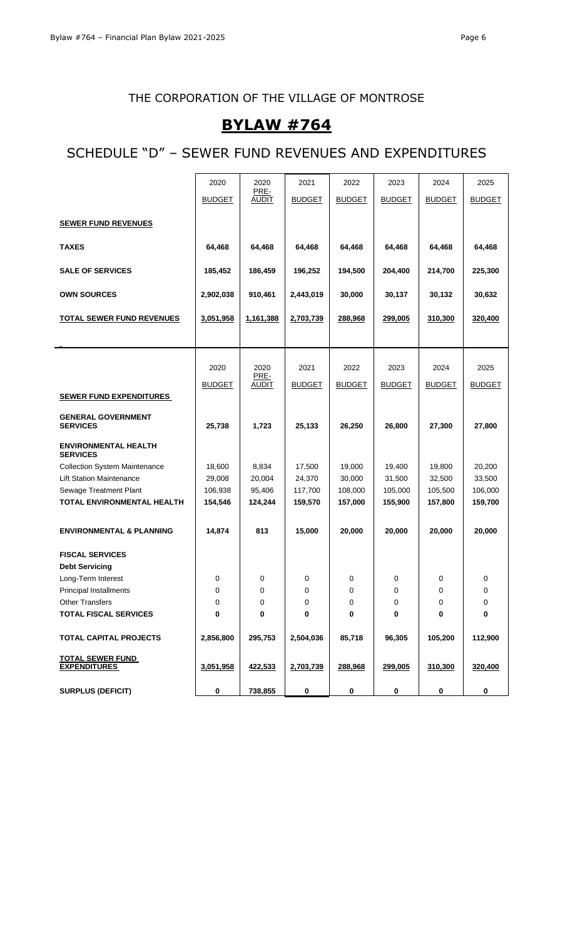## **BYLAW #764**

## SCHEDULE "D" – SEWER FUND REVENUES AND EXPENDITURES

|                                                | 2020          | 2020                 | 2021          | 2022          | 2023          | 2024          | 2025          |
|------------------------------------------------|---------------|----------------------|---------------|---------------|---------------|---------------|---------------|
|                                                | <b>BUDGET</b> | PRE-<br><b>AUDIT</b> | <b>BUDGET</b> | <b>BUDGET</b> | <b>BUDGET</b> | <b>BUDGET</b> | <b>BUDGET</b> |
|                                                |               |                      |               |               |               |               |               |
| <b>SEWER FUND REVENUES</b>                     |               |                      |               |               |               |               |               |
| <b>TAXES</b>                                   | 64,468        | 64,468               | 64,468        | 64,468        | 64,468        | 64,468        | 64,468        |
| <b>SALE OF SERVICES</b>                        | 185,452       | 186,459              | 196,252       | 194,500       | 204,400       | 214,700       | 225,300       |
| <b>OWN SOURCES</b>                             | 2,902,038     | 910,461              | 2,443,019     | 30,000        | 30,137        | 30,132        | 30,632        |
| <b>TOTAL SEWER FUND REVENUES</b>               | 3,051,958     | 1,161,388            | 2,703,739     | 288,968       | 299,005       | 310,300       | 320,400       |
|                                                |               |                      |               |               |               |               |               |
|                                                |               |                      |               |               |               |               |               |
|                                                | 2020          | 2020<br>PRE-         | 2021          | 2022          | 2023          | 2024          | 2025          |
|                                                | <b>BUDGET</b> | <b>AUDIT</b>         | <b>BUDGET</b> | <b>BUDGET</b> | <b>BUDGET</b> | <b>BUDGET</b> | <b>BUDGET</b> |
| <b>SEWER FUND EXPENDITURES</b>                 |               |                      |               |               |               |               |               |
| <b>GENERAL GOVERNMENT</b>                      |               |                      |               |               |               |               |               |
| <b>SERVICES</b>                                | 25,738        | 1,723                | 25,133        | 26,250        | 26,800        | 27,300        | 27,800        |
| <b>ENVIRONMENTAL HEALTH</b><br><b>SERVICES</b> |               |                      |               |               |               |               |               |
| <b>Collection System Maintenance</b>           | 18,600        | 8,834                | 17,500        | 19,000        | 19,400        | 19,800        | 20,200        |
| <b>Lift Station Maintenance</b>                | 29,008        | 20,004               | 24,370        | 30,000        | 31,500        | 32,500        | 33,500        |
| Sewage Treatment Plant                         | 106,938       | 95,406               | 117,700       | 108,000       | 105,000       | 105,500       | 106,000       |
| TOTAL ENVIRONMENTAL HEALTH                     | 154,546       | 124,244              | 159,570       | 157,000       | 155,900       | 157,800       | 159,700       |
| <b>ENVIRONMENTAL &amp; PLANNING</b>            | 14,874        | 813                  | 15,000        | 20,000        | 20,000        | 20,000        | 20,000        |
| <b>FISCAL SERVICES</b>                         |               |                      |               |               |               |               |               |
| <b>Debt Servicing</b>                          |               |                      |               |               |               |               |               |
| Long-Term Interest                             | 0             | 0                    | 0             | 0             | 0             | 0             | 0             |
| Principal Installments                         | 0             | $\Omega$             | 0             | 0             | 0             | 0             | 0             |
| <b>Other Transfers</b>                         | 0             | 0                    | 0             | 0             | 0             | 0             | 0             |
| <b>TOTAL FISCAL SERVICES</b>                   | 0             | 0                    | 0             | 0             | 0             | 0             | 0             |
| <b>TOTAL CAPITAL PROJECTS</b>                  | 2,856,800     | 295,753              | 2,504,036     | 85,718        | 96,305        | 105,200       | 112,900       |
| <b>TOTAL SEWER FUND</b>                        |               |                      |               |               |               |               |               |
| <b>EXPENDITURES</b>                            | 3,051,958     | 422,533              | 2,703,739     | 288,968       | 299,005       | 310,300       | 320,400       |
| <b>SURPLUS (DEFICIT)</b>                       | 0             | 738,855              | $\pmb{0}$     | 0             | 0             | 0             | 0             |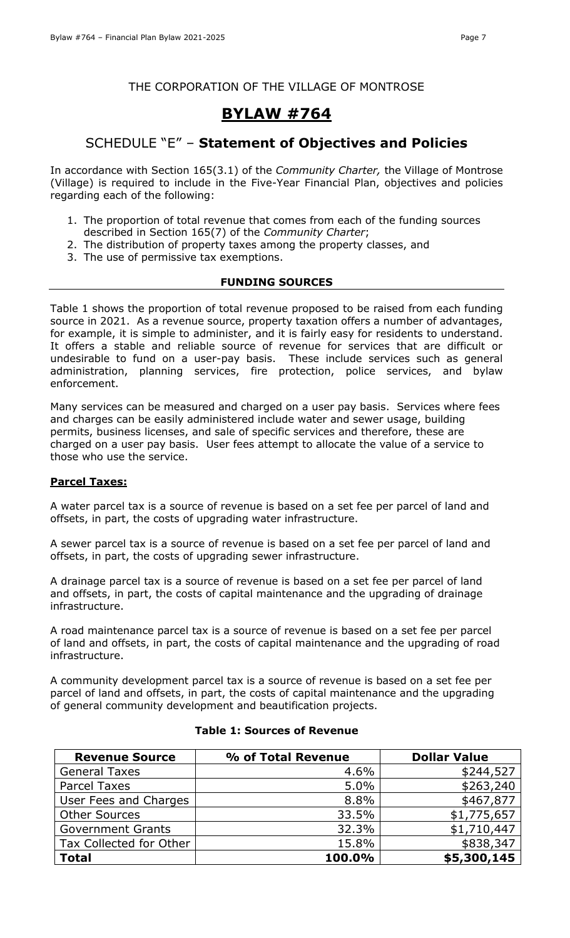# **BYLAW #764**

### SCHEDULE "E" – **Statement of Objectives and Policies**

In accordance with Section 165(3.1) of the *Community Charter,* the Village of Montrose (Village) is required to include in the Five-Year Financial Plan, objectives and policies regarding each of the following:

- 1. The proportion of total revenue that comes from each of the funding sources described in Section 165(7) of the *Community Charter*;
- 2. The distribution of property taxes among the property classes, and
- 3. The use of permissive tax exemptions.

### **FUNDING SOURCES**

Table 1 shows the proportion of total revenue proposed to be raised from each funding source in 2021. As a revenue source, property taxation offers a number of advantages, for example, it is simple to administer, and it is fairly easy for residents to understand. It offers a stable and reliable source of revenue for services that are difficult or undesirable to fund on a user-pay basis. These include services such as general administration, planning services, fire protection, police services, and bylaw enforcement.

Many services can be measured and charged on a user pay basis. Services where fees and charges can be easily administered include water and sewer usage, building permits, business licenses, and sale of specific services and therefore, these are charged on a user pay basis. User fees attempt to allocate the value of a service to those who use the service.

### **Parcel Taxes:**

A water parcel tax is a source of revenue is based on a set fee per parcel of land and offsets, in part, the costs of upgrading water infrastructure.

A sewer parcel tax is a source of revenue is based on a set fee per parcel of land and offsets, in part, the costs of upgrading sewer infrastructure.

A drainage parcel tax is a source of revenue is based on a set fee per parcel of land and offsets, in part, the costs of capital maintenance and the upgrading of drainage infrastructure.

A road maintenance parcel tax is a source of revenue is based on a set fee per parcel of land and offsets, in part, the costs of capital maintenance and the upgrading of road infrastructure.

A community development parcel tax is a source of revenue is based on a set fee per parcel of land and offsets, in part, the costs of capital maintenance and the upgrading of general community development and beautification projects.

| <b>Revenue Source</b>    | % of Total Revenue | <b>Dollar Value</b> |
|--------------------------|--------------------|---------------------|
| <b>General Taxes</b>     | 4.6%               | \$244,527           |
| <b>Parcel Taxes</b>      | 5.0%               | \$263,240           |
| User Fees and Charges    | 8.8%               | \$467,877           |
| <b>Other Sources</b>     | 33.5%              | \$1,775,657         |
| <b>Government Grants</b> | 32.3%              | \$1,710,447         |
| Tax Collected for Other  | 15.8%              | \$838,347           |
| <b>Total</b>             | 100.0%             | \$5,300,145         |

### **Table 1: Sources of Revenue**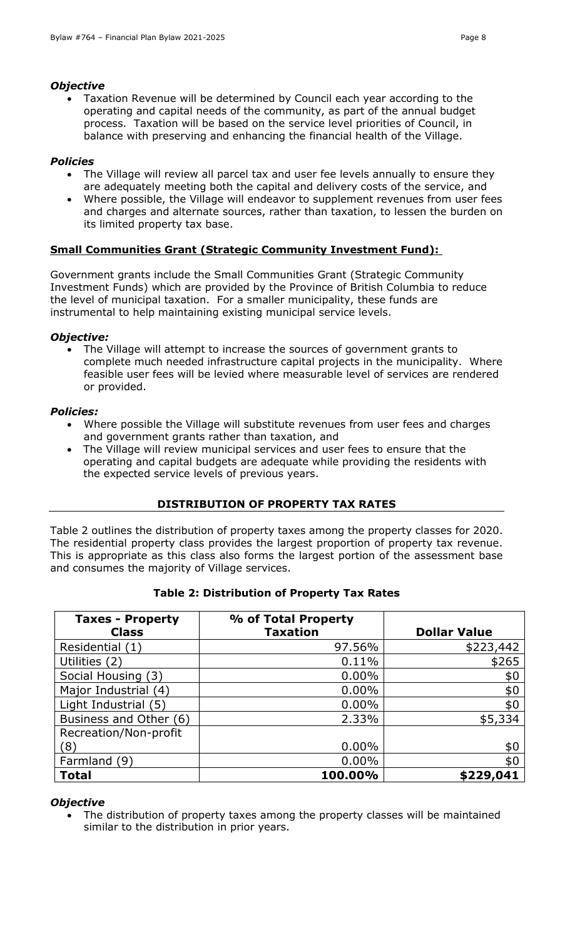### *Objective*

• Taxation Revenue will be determined by Council each year according to the operating and capital needs of the community, as part of the annual budget process. Taxation will be based on the service level priorities of Council, in balance with preserving and enhancing the financial health of the Village.

### *Policies*

- The Village will review all parcel tax and user fee levels annually to ensure they are adequately meeting both the capital and delivery costs of the service, and
- Where possible, the Village will endeavor to supplement revenues from user fees and charges and alternate sources, rather than taxation, to lessen the burden on its limited property tax base.

### **Small Communities Grant (Strategic Community Investment Fund):**

Government grants include the Small Communities Grant (Strategic Community Investment Funds) which are provided by the Province of British Columbia to reduce the level of municipal taxation. For a smaller municipality, these funds are instrumental to help maintaining existing municipal service levels.

### *Objective:*

• The Village will attempt to increase the sources of government grants to complete much needed infrastructure capital projects in the municipality. Where feasible user fees will be levied where measurable level of services are rendered or provided.

#### *Policies:*

- Where possible the Village will substitute revenues from user fees and charges and government grants rather than taxation, and
- The Village will review municipal services and user fees to ensure that the operating and capital budgets are adequate while providing the residents with the expected service levels of previous years.

### **DISTRIBUTION OF PROPERTY TAX RATES**

Table 2 outlines the distribution of property taxes among the property classes for 2020. The residential property class provides the largest proportion of property tax revenue. This is appropriate as this class also forms the largest portion of the assessment base and consumes the majority of Village services.

| <b>Taxes - Property</b> | % of Total Property |                     |
|-------------------------|---------------------|---------------------|
| <b>Class</b>            | <b>Taxation</b>     | <b>Dollar Value</b> |
| Residential (1)         | 97.56%              | \$223,442           |
| Utilities (2)           | 0.11%               | \$265               |
| Social Housing (3)      | $0.00\%$            | \$0                 |
| Major Industrial (4)    | $0.00\%$            | \$0                 |
| Light Industrial (5)    | $0.00\%$            | \$0                 |
| Business and Other (6)  | 2.33%               | \$5,334             |
| Recreation/Non-profit   |                     |                     |
| (8)                     | $0.00\%$            | \$0                 |
| Farmland (9)            | $0.00\%$            | \$0                 |
| <b>Total</b>            | 100.00%             | \$229,041           |

### **Table 2: Distribution of Property Tax Rates**

#### *Objective*

• The distribution of property taxes among the property classes will be maintained similar to the distribution in prior years.